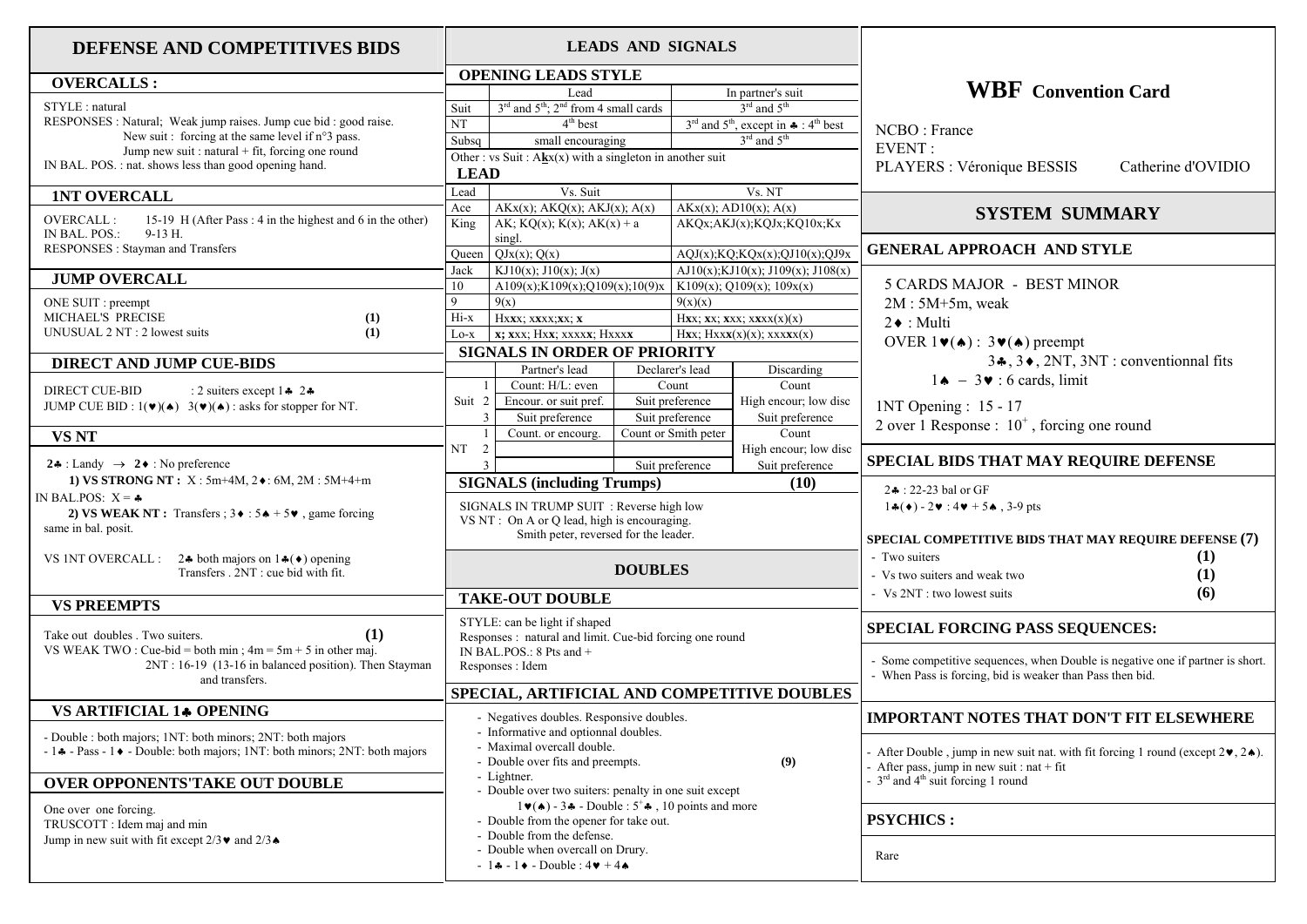## **DEFENSE AND COMPETITIVES BIDS**

## **OVERCALLS :**STYLE : natural RESPONSES : Natural; Weak jump raises. Jump cue bid : good raise. New suit : forcing at the same level if n°3 pass. Jump new suit : natural + fit, forcing one round IN BAL. POS. : nat. shows less than good opening hand.  **1NT OVERCALL**OVERCALL : 15-19 H (After Pass : 4 in the highest and 6 in the other) IN BAL. POS.: 9-13 H. RESPONSES : Stayman and Transfers  **JUMP OVERCALL** ONE SUIT : preempt MICHAEL'S PRECISE **(1)**  UNUSUAL 2 NT : 2 lowest suits **(1) DIRECT AND JUMP CUE-BIDS**DIRECT CUE-BID \* 2\* JUMP CUE BID :  $1(\mathbf{v})(\mathbf{A})$  :  $3(\mathbf{v})(\mathbf{A})$  : asks for stopper for NT.  **VS NT 2.4** : Landy  $\rightarrow$  **2.4** : No preference **1) VS STRONG NT :**  $X : 5m+4M, 2 \cdot 6M, 2M : 5M+4+m$ IN BAL.POS:  $X = -$ **2) VS WEAK NT :** Transfers :  $3 \cdot 5 \cdot 5 \cdot 5 \cdot 5$  , game forcing same in bal. posit. VS 1NT OVERCALL :  $2\cdot \text{ both majors on } 1\cdot (\cdot)$  opening Transfers 2NT : cue bid with fit.  **VS PREEMPTS** Take out doubles . Two suiters. **(1)** VS WEAK TWO : Cue-bid = both min :  $4m = 5m + 5$  in other maj. 2NT : 16-19 (13-16 in balanced position). Then Stayman and transfers.  **VS ARTIFICIAL 1 OPENING**  - Double : both majors; 1NT: both minors; 2NT: both majors  $-1$   $\bullet$  - Pass - 1  $\bullet$  - Double: both majors; 1NT: both minors; 2NT: both majors **OVER OPPONENTS'TAKE OUT DOUBLE**  One over one forcing. TRUSCOTT : Idem maj and min Jump in new suit with fit except  $2/3 \cdot \text{ and } 2/3 \cdot \text{ }$ NT**LEAD**

## **LEADS AND SIGNALS OPENING LEADS STYLE** Lead In partner's suit Suit  $3<sup>rd</sup>$  and  $5<sup>th</sup>$ ;  $2<sup>nd</sup>$  from 4 small cards  $3<sup>rd</sup>$  and  $5<sup>th</sup>$ T  $4^{th}$  best  $3^{rd}$  and  $5^{th}$ , except in  $\clubsuit : 4^{th}$  best Subsq small encouraging  $3<sup>rd</sup>$  and  $5<sup>th</sup>$ Other : vs Suit : A**k**x(x) with a singleton in another suit Lead Vs. Suit Vs. NT Ace  $AKx(x)$ ; AKQ(x); AKJ(x); A(x)  $AKx(x)$ ; AD10(x); A(x) King AK;  $KQ(x)$ ;  $K(x)$ ;  $AK(x) + a$ singl. AKQx;AKJ(x);KQJx;KQ10x;Kx Queen  $QJx(x)$ ;  $Q(x)$   $AQJ(x)$ ;  $KQx(x)$ ;  $QJ10(x)$ ;  $QJ9x$ Jack KJ10(x); J10(x); J(x) AJ10(x); KJ10(x); J109(x); J108(x) 10 A109(x);K109(x);O109(x);10(9)x K109(x); Q109(x); 109x(x) 9  $9(x)$  9(x) Hi-x Hx**x**x; x**x**xx; **x** Hxx; **x** Hxx; **x**x; xxx; xxx(x)(x) Lo-x **x;** xxx; Hxx; xxxxx; Hxxxx**x** Hxx; Hxxx(x)(x); xxxxx(x)  **SIGNALS IN ORDER OF PRIORITY** Partner's leadDeclarer's lead Discarding 1 Count: H/L: even Count Count Suit 2 Encour, or suit pref. Suit preference High encour; low disc 3 Suit preference Suit preference Suit preference 1 Count. or encourg. Count or Smith peter Count  $NT \quad 2$   $\boxed{\qquad}$  High encour; low disc 3 Suit preference Suit preference  **SIGNALS (including Trumps) (10)** SIGNALS IN TRUMP SUIT : Reverse high low VS NT  $\cdot$  On A or O lead, high is encouraging. Smith peter, reversed for the leader. **DOUBLES TAKE-OUT DOUBLE**  STYLE: can be light if shaped Responses : natural and limit. Cue-bid forcing one round IN BAL.POS.: 8 Pts and + Responses : Idem **SPECIAL, ARTIFICIAL AND COMPETITIVE DOUBLES** - Negatives doubles. Responsive doubles. - Informative and optionnal doubles. - Maximal overcall double. - Double over fits and preempts. **(9)** - Lightner. - Double over two suiters: penalty in one suit except  $1\blacktriangleright(\blacktriangle) - 3\blacktriangle$  - Double :  $5^+\clubsuit$ , 10 points and more - Double from the opener for take out. - Double from the defense. - Double when overcall on Drury.  $-1$  +  $-1$  +  $-$  Double :  $4$   $+$   $4$   $+$ Rare

## **WBF Convention Card**NCBO : France EVENT : PLAYERS : Véronique BESSIS Catherine d'OVIDIO **SYSTEM SUMMARYGENERAL APPROACH AND STYLE** 5 CARDS MAJOR - BEST MINOR  $2M : 5M + 5m$ , weak  $2 \cdot \text{Multi}$ OVER  $1\blacktriangledown(\blacktriangle)$ :  $3\blacktriangledown(\blacktriangle)$  preempt  $3\bullet$ ,  $3\bullet$ ,  $2NT$ ,  $3NT$ : conventionnal fits  $1 \cdot \cdot \cdot = 3 \cdot \cdot \cdot 6$  cards, limit 1NT Opening : 15 - 17 2 over 1 Response :  $10^+$ , forcing one round **SPECIAL BIDS THAT MAY REQUIRE DEFENSE**  $24 \cdot 22 - 23$  hal or GF  $1\cdot(4) - 2\cdot 14\cdot 5\cdot 3 - 9$  pts **SPECIAL COMPETITIVE BIDS THAT MAY REQUIRE DEFENSE (7)** - Two suiters **(1)** - Vs two suiters and weak two **(1)** - Vs 2NT : two lowest suits **(6) SPECIAL FORCING PASS SEQUENCES:**  - Some competitive sequences, when Double is negative one if partner is short. - When Pass is forcing, bid is weaker than Pass then bid. **IMPORTANT NOTES THAT DON'T FIT ELSEWHERE**- After Double, jump in new suit nat. with fit forcing 1 round (except  $2\bullet$ ,  $2\bullet$ ). - After pass, jump in new suit : nat + fit  $-3^{rd}$  and  $4^{th}$  suit forcing 1 round **PSYCHICS :**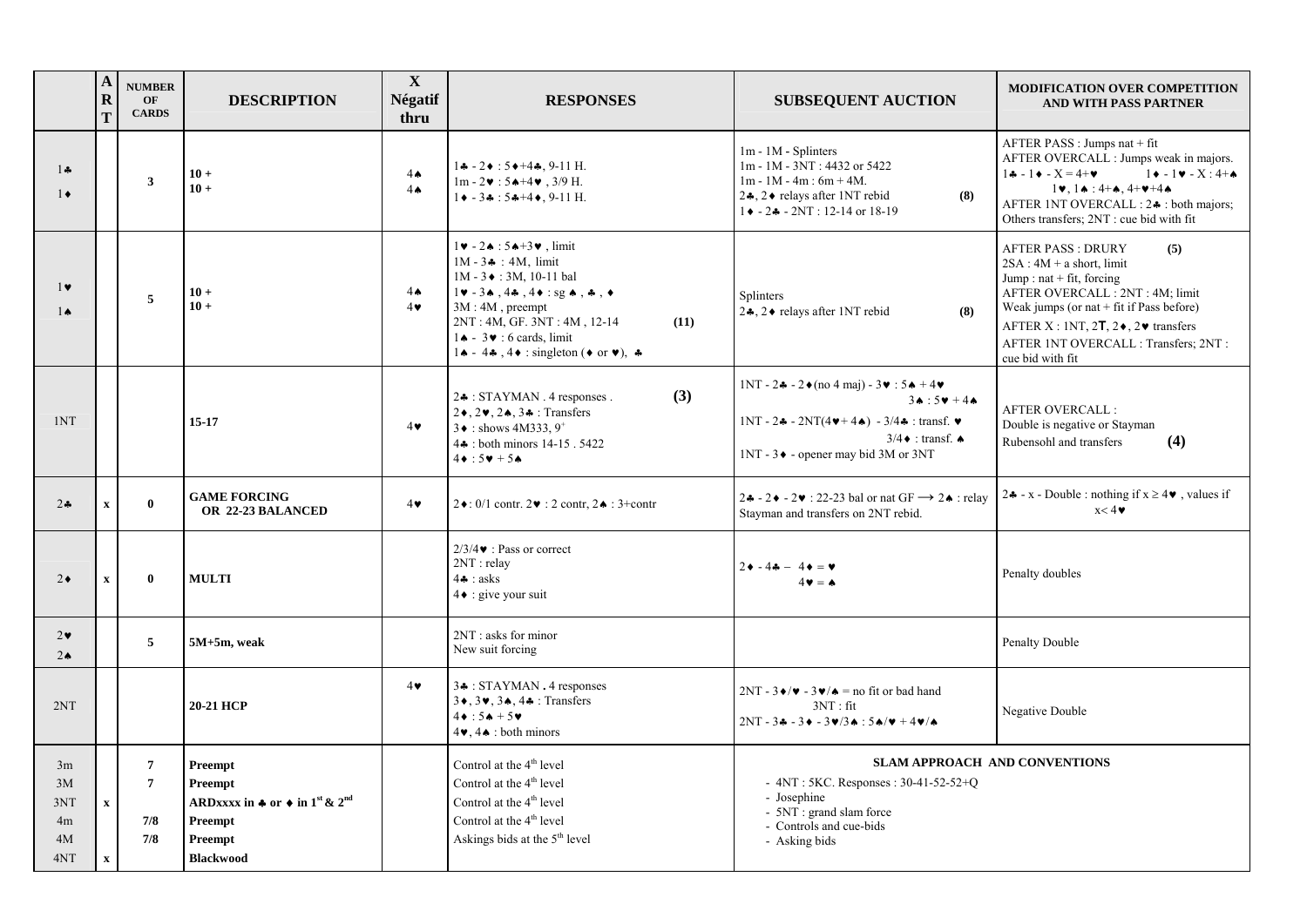|                                    | $\mathbf{A}$<br>${\bf R}$<br>T           | <b>NUMBER</b><br>OF<br><b>CARDS</b>            | <b>DESCRIPTION</b>                                                                                                                            | $\mathbf X$<br><b>Négatif</b><br>thru | <b>RESPONSES</b>                                                                                                                                                                                                                                                                                                                                             | <b>SUBSEQUENT AUCTION</b>                                                                                                                                                                                | <b>MODIFICATION OVER COMPETITION</b><br>AND WITH PASS PARTNER                                                                                                                                                                                                                                    |  |  |
|------------------------------------|------------------------------------------|------------------------------------------------|-----------------------------------------------------------------------------------------------------------------------------------------------|---------------------------------------|--------------------------------------------------------------------------------------------------------------------------------------------------------------------------------------------------------------------------------------------------------------------------------------------------------------------------------------------------------------|----------------------------------------------------------------------------------------------------------------------------------------------------------------------------------------------------------|--------------------------------------------------------------------------------------------------------------------------------------------------------------------------------------------------------------------------------------------------------------------------------------------------|--|--|
| $1 -$<br>$1 \bullet$               |                                          | 3                                              | $10+$<br>$10 +$                                                                                                                               | $4 \spadesuit$<br>$4\spadesuit$       | $1 - 2 + 5 + 4$ , 9-11 H.<br>$1m - 2 \cdot 5 \cdot 5 + 4 \cdot 3/9$ H.<br>$1 \bullet -3 \bullet : 5 \bullet +4 \bullet$ , 9-11 H.                                                                                                                                                                                                                            | 1m - 1M - Splinters<br>1m - 1M - 3NT: 4432 or 5422<br>$1m - 1M - 4m$ : 6m + 4M.<br>2,4, 2♦ relays after 1NT rebid<br>(8)<br>$1 \cdot -2 \cdot -2NT$ : 12-14 or 18-19                                     | AFTER PASS : Jumps nat + fit<br>AFTER OVERCALL : Jumps weak in majors.<br>$1 - 1 + 1 = 4 + 1$<br>$1 \bullet - 1 \bullet - X : 4 + \bullet$<br>$1 \vee 1 \wedge 1 \wedge 4 + \wedge 4 + \vee 4 \wedge 4$<br>AFTER INT OVERCALL : 2. t both majors;<br>Others transfers; 2NT : cue bid with fit    |  |  |
| $1\bullet$<br>$1\spadesuit$        |                                          | 5                                              | $10+$<br>$10+$                                                                                                                                | $4\spadesuit$<br>$4\bullet$           | $1\blacktriangledown -2\blacktriangle + 5\blacktriangle + 3\blacktriangledown$ , limit<br>$1M - 3 + : 4M$ , limit<br>$1M - 3 \div : 3M$ , 10-11 bal<br>$1\vee -3\wedge 4\clubsuit 4\vee \neg$ : sg $\wedge$ , $\clubsuit$ , $\leftrightarrow$<br>$3M:4M$ , preempt<br>2NT: 4M, GF. 3NT: 4M, 12-14<br>(11)<br>$1 \triangle - 3 \triangleright 6$ cards, limit | Splinters<br>2,4, 2♦ relays after 1NT rebid<br>(8)                                                                                                                                                       | <b>AFTER PASS: DRURY</b><br>(5)<br>$2SA:4M + a short, limit$<br>Jump : nat + fit, forcing<br>AFTER OVERCALL : 2NT : 4M; limit<br>Weak jumps (or nat $+$ fit if Pass before)<br>AFTER X : 1NT, 2T, $2\bullet$ , $2\bullet$ transfers<br>AFTER 1NT OVERCALL : Transfers; 2NT :<br>cue bid with fit |  |  |
| 1NT                                |                                          |                                                | $15 - 17$                                                                                                                                     | $4\bullet$                            | (3)<br>$2*$ : STAYMAN. 4 responses.<br>$2\bullet$ , $2\bullet$ , $2\bullet$ , $3\bullet$ : Transfers<br>$3 \bullet$ : shows 4M333.9 <sup>+</sup><br>4. : both minors 14-15 . 5422<br>$4\bullet:5\bullet+5\bullet$                                                                                                                                            | $1NT - 2 - - 2 \cdot (no 4 maj) - 3 \cdot 5 + 4 \cdot 7$<br>$34:54 + 44$<br>$1NT - 2 - - 2NT(4v + 4 - ) - 3/4 +$ : transf. v<br>$3/4 \cdot$ : transf. $\triangle$<br>1NT - 3♦ - opener may bid 3M or 3NT | <b>AFTER OVERCALL:</b><br>Double is negative or Stayman<br>Rubensohl and transfers<br>(4)                                                                                                                                                                                                        |  |  |
| $2 -$                              | $\mathbf x$                              | $\mathbf{0}$                                   | <b>GAME FORCING</b><br>OR 22-23 BALANCED                                                                                                      | $4\bullet$                            | $2 \cdot 0$ : 0/1 contr. $2 \cdot 2$ contr. $2 \cdot 3$ + contr                                                                                                                                                                                                                                                                                              | $2\clubsuit - 2\blacktriangleright - 2\blacktriangleright$ : 22-23 bal or nat GF $\rightarrow$ 2 $\blacktriangleright$ : relay<br>Stayman and transfers on 2NT rebid.                                    | 24 - x - Double : nothing if $x \ge 4$ . values if<br>x < 4                                                                                                                                                                                                                                      |  |  |
| $2\bullet$                         | $\mathbf x$                              | $\bf{0}$                                       | <b>MULTI</b>                                                                                                                                  |                                       | $2/3/4$ $\bullet$ : Pass or correct<br>$2NT :$ relay<br>$4$ $\bullet$ : asks<br>$4\bullet$ : give your suit                                                                                                                                                                                                                                                  | $2 \cdot -4 \cdot -4 \cdot = \cdot$<br>$4 \cdot = \triangle$                                                                                                                                             | Penalty doubles                                                                                                                                                                                                                                                                                  |  |  |
| $2\bullet$<br>$2\star$             |                                          | 5                                              | $5M+5m$ , weak                                                                                                                                |                                       | 2NT: asks for minor<br>New suit forcing                                                                                                                                                                                                                                                                                                                      |                                                                                                                                                                                                          | Penalty Double                                                                                                                                                                                                                                                                                   |  |  |
| 2NT                                |                                          |                                                | 20-21 HCP                                                                                                                                     | $4\bullet$                            | 3. : STAYMAN . 4 responses<br>3 + , 3 + , 3 + , 4 $\bullet$ : Transfers<br>$4 \cdot 5 + 5 \cdot$<br>$4\blacktriangleright, 4\blacktriangle$ : both minors                                                                                                                                                                                                    | $2NT - 3 \cdot / \cdot \cdot = 3 \cdot / \cdot =$ no fit or bad hand<br>3NT : fit<br>$2NT - 3A - 3A - 3V/3A : 5A/V + 4V/A$                                                                               | Negative Double                                                                                                                                                                                                                                                                                  |  |  |
| 3m<br>3M<br>3NT<br>4m<br>4M<br>4NT | $\boldsymbol{\mathrm{X}}$<br>$\mathbf x$ | $\overline{7}$<br>$\overline{7}$<br>7/8<br>7/8 | Preempt<br><b>Preempt</b><br>ARDxxxx in $\bullet$ or $\bullet$ in 1 <sup>st</sup> & 2 <sup>nd</sup><br>Preempt<br>Preempt<br><b>Blackwood</b> |                                       | Control at the $4th$ level<br>Control at the 4 <sup>th</sup> level<br>Control at the 4 <sup>th</sup> level<br>Control at the 4 <sup>th</sup> level<br>Askings bids at the 5 <sup>th</sup> level                                                                                                                                                              | <b>SLAM APPROACH AND CONVENTIONS</b><br>- $4NT : 5KC$ . Responses : $30-41-52-52+Q$<br>- Josephine<br>- 5NT : grand slam force<br>- Controls and cue-bids<br>- Asking bids                               |                                                                                                                                                                                                                                                                                                  |  |  |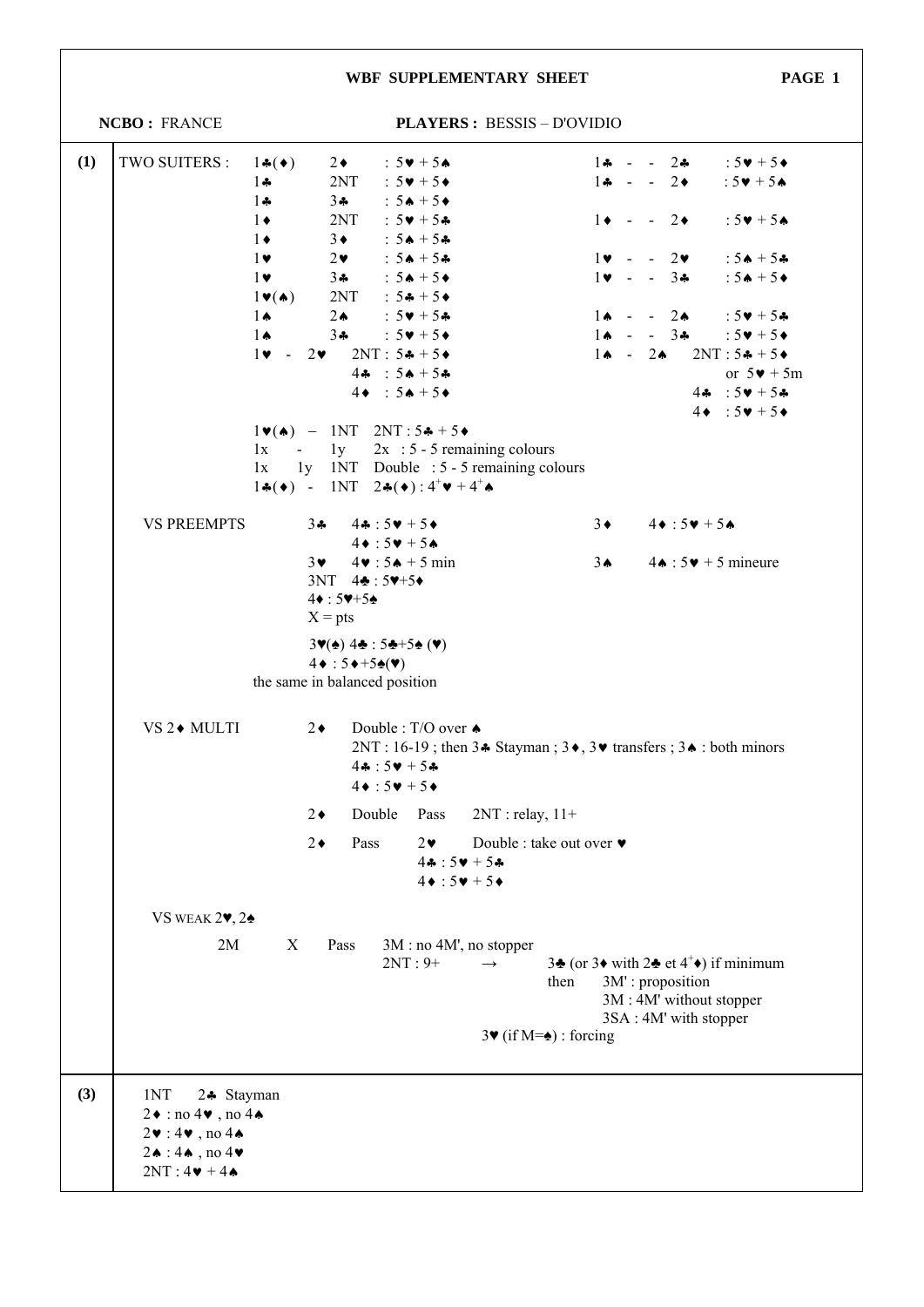|     |                                                                                                                                                                                                  |                                                                 |                                                                                                                                                           | WBF SUPPLEMENTARY SHEET                                                                                                                                                 |                                                                                              |                               |  |                                         | PAGE 1                                                                                                                                |  |
|-----|--------------------------------------------------------------------------------------------------------------------------------------------------------------------------------------------------|-----------------------------------------------------------------|-----------------------------------------------------------------------------------------------------------------------------------------------------------|-------------------------------------------------------------------------------------------------------------------------------------------------------------------------|----------------------------------------------------------------------------------------------|-------------------------------|--|-----------------------------------------|---------------------------------------------------------------------------------------------------------------------------------------|--|
|     | NCBO: FRANCE                                                                                                                                                                                     |                                                                 | <b>PLAYERS: BESSIS - D'OVIDIO</b>                                                                                                                         |                                                                                                                                                                         |                                                                                              |                               |  |                                         |                                                                                                                                       |  |
| (1) | TWO SUITERS :                                                                                                                                                                                    | $1\bullet(\bullet)$<br>$1 -$                                    | $2\bullet$<br>2NT                                                                                                                                         | $:5\vee 15\wedge$<br>: $5\blacktriangledown + 5\blacktriangle$                                                                                                          |                                                                                              | $1 - - 2$                     |  |                                         | $1 - 2 - 3$ : $5 + 5$<br>: $5 \vee 1 + 5 \wedge$                                                                                      |  |
|     |                                                                                                                                                                                                  | $1 -$<br>$1\bullet$<br>$1 \bullet$                              | $3 - 3$<br>2NT<br>$3 \bullet$                                                                                                                             | : $5 \cdot + 5 \cdot$<br>: $5\bullet + 5\clubsuit$<br>: $5A + 5A$                                                                                                       |                                                                                              | $1 \bullet - - 2 \bullet$     |  |                                         | : $5 \vee 1 + 5 \triangle$                                                                                                            |  |
|     |                                                                                                                                                                                                  | $1$ v<br>$1\bullet$<br>$1 \vee (\spadesuit)$                    | $2\bullet$<br>$3 - 3$<br>2NT : $54 + 54$                                                                                                                  | : $54 + 54$<br>$: 5 \spadesuit + 5 \spadesuit$                                                                                                                          |                                                                                              | $1 \times - 3 \cdot$          |  | $1\mathbf{v}$ - $-2\mathbf{v}$          | $: 5 \spadesuit + 5 \clubsuit$<br>: $5 \cdot + 5 \cdot$                                                                               |  |
|     |                                                                                                                                                                                                  | $1 \spadesuit$<br>$1 \spadesuit$<br>$1\mathbf{v} - 2\mathbf{v}$ | $2 \spadesuit$<br>$3 - 3$<br>$2NT: 5 + 5 +$<br>$44 : 54 + 54$                                                                                             | $:5\blacktriangledown + 5\clubsuit$<br>: $5\blacktriangledown + 5\blacktriangle$                                                                                        |                                                                                              | $1 \spadesuit - 2 \spadesuit$ |  | $1 \spadesuit - 3 \spadesuit$           | $1 \cdot - 2 \cdot 5 \cdot + 5 \cdot$<br>: $5\blacktriangledown + 5\blacktriangle +$<br>$2NT: 5 + 5$<br>or $5\blacktriangledown + 5m$ |  |
|     |                                                                                                                                                                                                  | 1x<br>1x                                                        | $4\bullet : 5\bullet + 5\bullet$<br>$1\blacktriangledown(\blacktriangle)$ - 1NT 2NT:54+5+                                                                 | $-1y$ 2x : 5 - 5 remaining colours<br>1y 1NT Double : 5 - 5 remaining colours<br>$1\clubsuit(\bullet)$ - 1NT $2\clubsuit(\bullet)$ : $4^+\triangledown + 4^+\spadesuit$ |                                                                                              |                               |  |                                         | $44 : 50 + 54$<br>$4\bullet : 5\bullet + 5\bullet$                                                                                    |  |
|     | <b>VS PREEMPTS</b>                                                                                                                                                                               |                                                                 | 34 $44:50 + 54$<br>$4\bullet:5\bullet+5\bullet$                                                                                                           |                                                                                                                                                                         |                                                                                              |                               |  | $3\bullet$ $4\bullet:5\bullet+5\bullet$ |                                                                                                                                       |  |
|     |                                                                                                                                                                                                  | $3\bullet$                                                      | $4\bullet: 5\bullet + 5$ min<br>$3NT \ 4\clubsuit : 5\blacktriangledown + 5\blacktriangledown$<br>$4\bullet:5\blacktriangledown+5\spadesuit$<br>$X = pts$ |                                                                                                                                                                         |                                                                                              | $3 \spadesuit$                |  |                                         | $4 \cdot 5 \cdot 5 \cdot 5$ mineure                                                                                                   |  |
|     |                                                                                                                                                                                                  |                                                                 | $3\Psi(\triangle)$ 44: $5\clubsuit + 5\spadesuit$ ( $\Psi$ )<br>$4 \cdot 5 \cdot +5 \cdot (\mathbf{v})$<br>the same in balanced position                  |                                                                                                                                                                         |                                                                                              |                               |  |                                         |                                                                                                                                       |  |
|     | VS 2◆ MULTI                                                                                                                                                                                      | $2\bullet$                                                      | $44:50 + 54$<br>$4\bullet:5\bullet+5\bullet$                                                                                                              | Double : T/O over ♦                                                                                                                                                     | 2NT: 16-19; then $3 \cdot$ Stayman; $3 \cdot$ , $3 \cdot$ transfers; $3 \cdot$ : both minors |                               |  |                                         |                                                                                                                                       |  |
|     |                                                                                                                                                                                                  | $2\bullet$                                                      | Double                                                                                                                                                    | Pass                                                                                                                                                                    | $2NT : relay, 11+$                                                                           |                               |  |                                         |                                                                                                                                       |  |
|     |                                                                                                                                                                                                  | $2\bullet$                                                      | Pass                                                                                                                                                      | $2\bullet$<br>$44:50 + 54$<br>$4\bullet:5\bullet+5\bullet$                                                                                                              | Double : take out over ♥                                                                     |                               |  |                                         |                                                                                                                                       |  |
|     | VS WEAK $2\blacktriangledown$ , $2\blacktriangle$                                                                                                                                                |                                                                 |                                                                                                                                                           |                                                                                                                                                                         |                                                                                              |                               |  |                                         |                                                                                                                                       |  |
|     | 2M                                                                                                                                                                                               | X                                                               | Pass                                                                                                                                                      | $3M : no 4M'$ , no stopper<br>$2NT:9+$<br>$\rightarrow$                                                                                                                 | then                                                                                         | 3M': proposition              |  | 3M: 4M' without stopper                 | 34 (or 34 with 24 et $4^+$ ) if minimum                                                                                               |  |
|     |                                                                                                                                                                                                  |                                                                 |                                                                                                                                                           |                                                                                                                                                                         | $3\Psi$ (if M= $\triangleq$ ) : forcing                                                      |                               |  | 3SA: 4M' with stopper                   |                                                                                                                                       |  |
| (3) | 1NT<br>24 Stayman<br>$2\bullet$ : no 4 $\bullet$ , no 4 $\bullet$<br>$2\mathbf{v}:4\mathbf{v}$ , no 44<br>$2\spadesuit$ : 4 $\spadesuit$ , no 4 $\blacktriangledown$<br>$2NT: 4 \cdot + 4 \cdot$ |                                                                 |                                                                                                                                                           |                                                                                                                                                                         |                                                                                              |                               |  |                                         |                                                                                                                                       |  |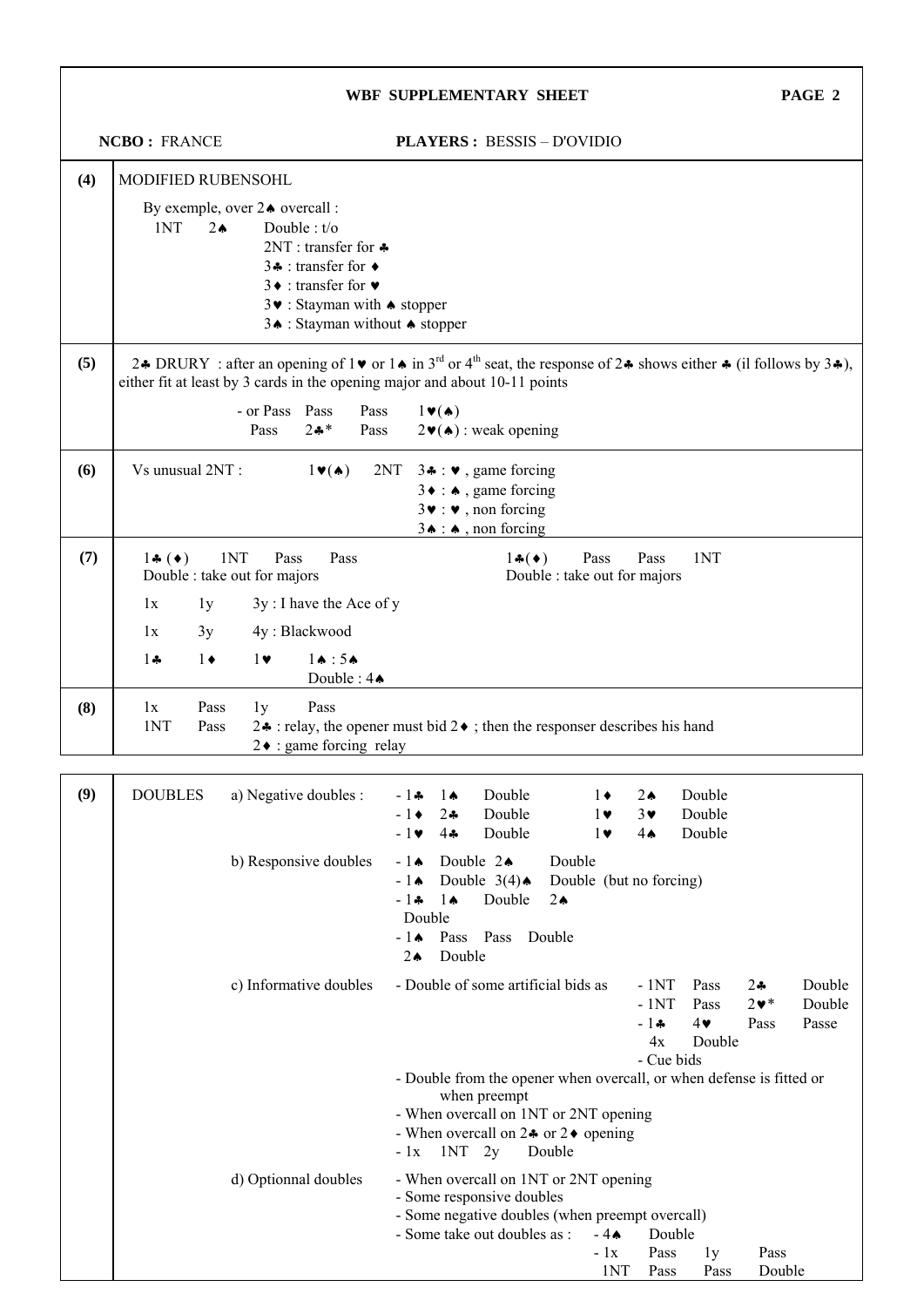|     |                                                                                                                                                                                                                                                                                                           |                                                                                                                                                                                                                                 |                                                                                                                   |                                                                                                                                                                                                                                 | WBF SUPPLEMENTARY SHEET                                                                                                                                                                      |  |                                            |                                               |                                      |                              | PAGE 2                    |
|-----|-----------------------------------------------------------------------------------------------------------------------------------------------------------------------------------------------------------------------------------------------------------------------------------------------------------|---------------------------------------------------------------------------------------------------------------------------------------------------------------------------------------------------------------------------------|-------------------------------------------------------------------------------------------------------------------|---------------------------------------------------------------------------------------------------------------------------------------------------------------------------------------------------------------------------------|----------------------------------------------------------------------------------------------------------------------------------------------------------------------------------------------|--|--------------------------------------------|-----------------------------------------------|--------------------------------------|------------------------------|---------------------------|
|     | <b>NCBO: FRANCE</b>                                                                                                                                                                                                                                                                                       |                                                                                                                                                                                                                                 | <b>PLAYERS: BESSIS - D'OVIDIO</b>                                                                                 |                                                                                                                                                                                                                                 |                                                                                                                                                                                              |  |                                            |                                               |                                      |                              |                           |
| (4) | MODIFIED RUBENSOHL                                                                                                                                                                                                                                                                                        |                                                                                                                                                                                                                                 |                                                                                                                   |                                                                                                                                                                                                                                 |                                                                                                                                                                                              |  |                                            |                                               |                                      |                              |                           |
|     | By exemple, over 24 overcall :<br>1NT<br>$2 \triangle$                                                                                                                                                                                                                                                    | Double : $t/o$<br>2NT : transfer for $\clubsuit$<br>34 : transfer for $\triangleleft$<br>$3 \cdot :$ transfer for $\bullet$<br>$3\blacktriangleright$ : Stayman with $\blacktriangle$ stopper<br>3↑ : Stayman without ◆ stopper |                                                                                                                   |                                                                                                                                                                                                                                 |                                                                                                                                                                                              |  |                                            |                                               |                                      |                              |                           |
| (5) | 2.4 DRURY: after an opening of $1\blacktriangleright$ or $1\blacktriangle$ in $3^{rd}$ or $4^{th}$ seat, the response of $2\blacktriangleright$ shows either $\blacktriangleright$ (il follows by $3\blacktriangleright$ ),<br>either fit at least by 3 cards in the opening major and about 10-11 points |                                                                                                                                                                                                                                 |                                                                                                                   |                                                                                                                                                                                                                                 |                                                                                                                                                                                              |  |                                            |                                               |                                      |                              |                           |
|     |                                                                                                                                                                                                                                                                                                           | - or Pass Pass<br>$2 - 1$<br>Pass                                                                                                                                                                                               | Pass<br>Pass                                                                                                      | $1 \blacktriangledown(\blacktriangle)$                                                                                                                                                                                          | $2\blacktriangledown(\blacktriangle)$ : weak opening                                                                                                                                         |  |                                            |                                               |                                      |                              |                           |
| (6) | Vs unusual 2NT:                                                                                                                                                                                                                                                                                           | $1 \vee (\spadesuit)$                                                                                                                                                                                                           | 2NT                                                                                                               |                                                                                                                                                                                                                                 | 3. $\bullet$ : $\bullet$ , game forcing<br>$3 \bullet : \bullet$ , game forcing<br>$3\blacktriangleright : \blacktriangleright$ , non forcing<br>$3 \triangle \cdot \triangle$ , non forcing |  |                                            |                                               |                                      |                              |                           |
| (7) | 1NT<br>$1\bullet$ ( $\bullet$ )<br>1NT<br>Pass<br>Pass<br>$1\bullet(\bullet)$<br>Pass<br>Pass<br>Double : take out for majors<br>Double : take out for majors                                                                                                                                             |                                                                                                                                                                                                                                 |                                                                                                                   |                                                                                                                                                                                                                                 |                                                                                                                                                                                              |  |                                            |                                               |                                      |                              |                           |
|     | 1x<br>1y                                                                                                                                                                                                                                                                                                  | 3y: I have the Ace of y                                                                                                                                                                                                         |                                                                                                                   |                                                                                                                                                                                                                                 |                                                                                                                                                                                              |  |                                            |                                               |                                      |                              |                           |
|     | 1x<br>3y                                                                                                                                                                                                                                                                                                  | 4y: Blackwood                                                                                                                                                                                                                   |                                                                                                                   |                                                                                                                                                                                                                                 |                                                                                                                                                                                              |  |                                            |                                               |                                      |                              |                           |
|     | $1\bullet$<br>$1 -$                                                                                                                                                                                                                                                                                       | $1 \spadesuit : 5 \spadesuit$<br>$1\bullet$                                                                                                                                                                                     | Double: $4 \spadesuit$                                                                                            |                                                                                                                                                                                                                                 |                                                                                                                                                                                              |  |                                            |                                               |                                      |                              |                           |
| (8) | 1x<br>Pass<br>1NT<br>Pass                                                                                                                                                                                                                                                                                 | Pass<br>1y<br>2. • : relay, the opener must bid 2 $\bullet$ ; then the responser describes his hand<br>$2\bullet$ : game forcing relay                                                                                          |                                                                                                                   |                                                                                                                                                                                                                                 |                                                                                                                                                                                              |  |                                            |                                               |                                      |                              |                           |
| (9) | <b>DOUBLES</b>                                                                                                                                                                                                                                                                                            | a) Negative doubles :                                                                                                                                                                                                           |                                                                                                                   | $-1+$<br>$1\spadesuit$<br>$2 -$<br>$-1\bullet$<br>$4 -$<br>$-1\blacktriangledown$                                                                                                                                               | Double<br>Double<br>Double                                                                                                                                                                   |  | $1\bullet$<br>$\mathbf{I}$ v<br>$1\bullet$ | $2 \triangle$<br>3♥<br>4Ѧ                     | Double<br>Double<br>Double           |                              |                           |
|     |                                                                                                                                                                                                                                                                                                           | b) Responsive doubles                                                                                                                                                                                                           | $-1$ $\bullet$<br>$-1$ $\bullet$<br>$1 \spadesuit$<br>- 1∻<br>Double<br>$-1$ $\bullet$<br>Double<br>$2\spadesuit$ | Double $2\spadesuit$<br>Double $3(4)$ $\spadesuit$<br>Double<br>Pass Pass                                                                                                                                                       | Double<br>$2 \triangle$<br>Double                                                                                                                                                            |  | Double (but no forcing)                    |                                               |                                      |                              |                           |
|     |                                                                                                                                                                                                                                                                                                           | c) Informative doubles                                                                                                                                                                                                          |                                                                                                                   | - Double of some artificial bids as                                                                                                                                                                                             |                                                                                                                                                                                              |  |                                            | $-1NT$<br>$-1NT$<br>$-1+$<br>4x<br>- Cue bids | Pass<br>Pass<br>$4\bullet$<br>Double | $2 -$<br>$2 \cdot *$<br>Pass | Double<br>Double<br>Passe |
|     |                                                                                                                                                                                                                                                                                                           |                                                                                                                                                                                                                                 |                                                                                                                   | - Double from the opener when overcall, or when defense is fitted or<br>when preempt<br>- When overcall on 1NT or 2NT opening<br>- When overcall on $2 \cdot \text{or } 2 \cdot \text{ opening}$<br>$1NT$ 2y<br>Double<br>$-1x$ |                                                                                                                                                                                              |  |                                            |                                               |                                      |                              |                           |
|     |                                                                                                                                                                                                                                                                                                           | d) Optionnal doubles                                                                                                                                                                                                            |                                                                                                                   | - When overcall on 1NT or 2NT opening<br>- Some responsive doubles<br>- Some negative doubles (when preempt overcall)<br>- Some take out doubles as :                                                                           |                                                                                                                                                                                              |  |                                            | Double<br>Pass<br>1NT<br>Pass                 | 1y<br>Pass                           | Pass<br>Double               |                           |

┑